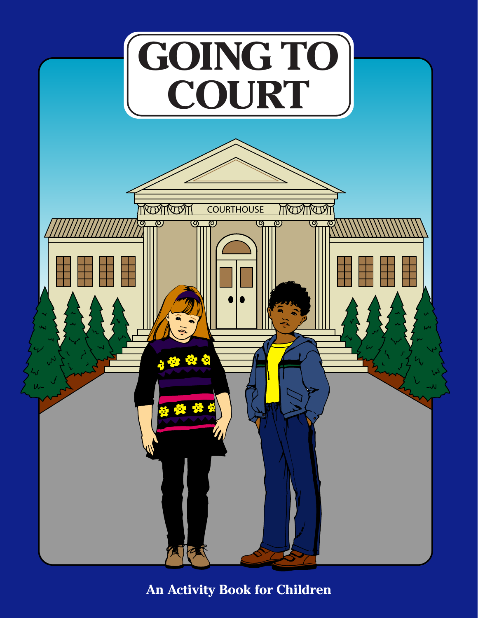

**An Activity Book for Children**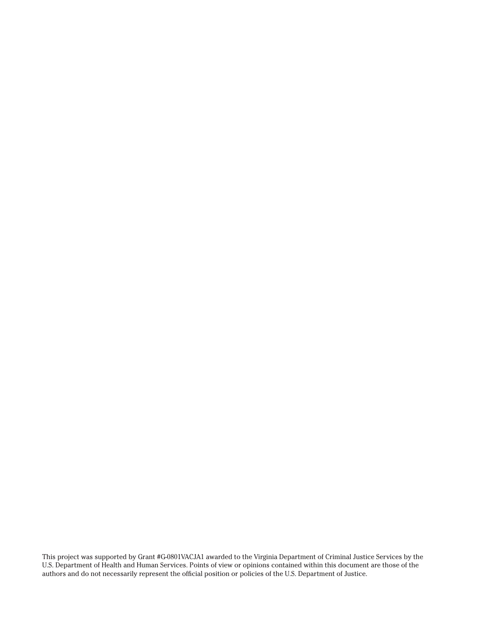This project was supported by Grant #G-0801VACJA1 awarded to the Virginia Department of Criminal Justice Services by the U.S. Department of Health and Human Services. Points of view or opinions contained within this document are those of the authors and do not necessarily represent the official position or policies of the U.S. Department of Justice.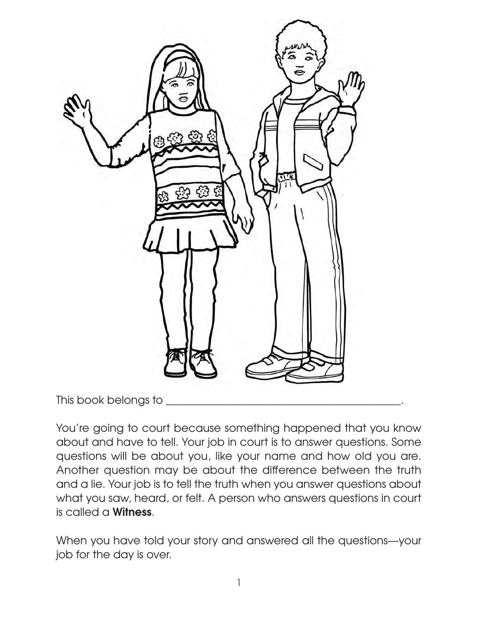

This book belongs to \_\_\_\_\_\_\_\_\_\_\_\_\_\_\_\_\_\_\_\_\_\_\_\_\_\_\_\_\_\_\_\_\_\_\_\_\_\_\_\_\_\_\_.

You're going to court because something happened that you know about and have to tell. Your job in court is to answer questions. Some questions will be about you, like your name and how old you are. Another question may be about the difference between the truth and a lie. Your job is to tell the truth when you answer questions about what you saw, heard, or felt. A person who answers questions in court is called a **Witness**.

When you have told your story and answered all the questions—your job for the day is over.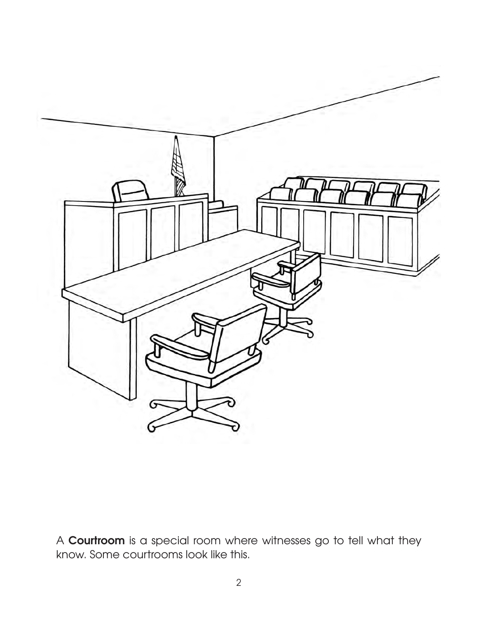

A **Courtroom** is a special room where witnesses go to tell what they know. Some courtrooms look like this.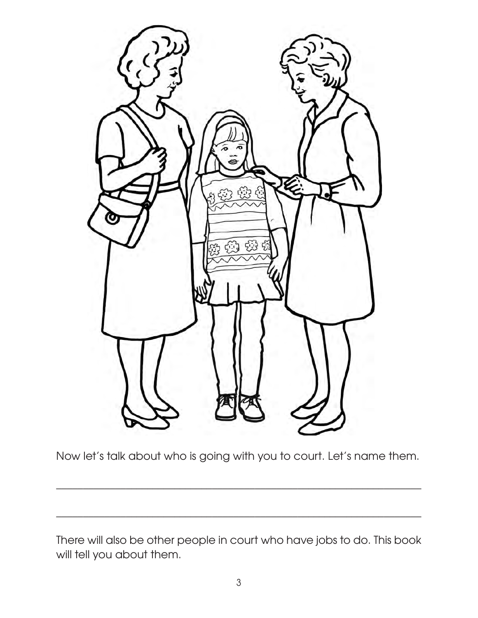

Now let's talk about who is going with you to court. Let's name them.

\_\_\_\_\_\_\_\_\_\_\_\_\_\_\_\_\_\_\_\_\_\_\_\_\_\_\_\_\_\_\_\_\_\_\_\_\_\_\_\_\_\_\_\_\_\_\_\_\_\_\_\_\_\_\_\_\_\_\_\_\_\_\_\_\_\_\_\_

\_\_\_\_\_\_\_\_\_\_\_\_\_\_\_\_\_\_\_\_\_\_\_\_\_\_\_\_\_\_\_\_\_\_\_\_\_\_\_\_\_\_\_\_\_\_\_\_\_\_\_\_\_\_\_\_\_\_\_\_\_\_\_\_\_\_\_\_

There will also be other people in court who have jobs to do. This book will tell you about them.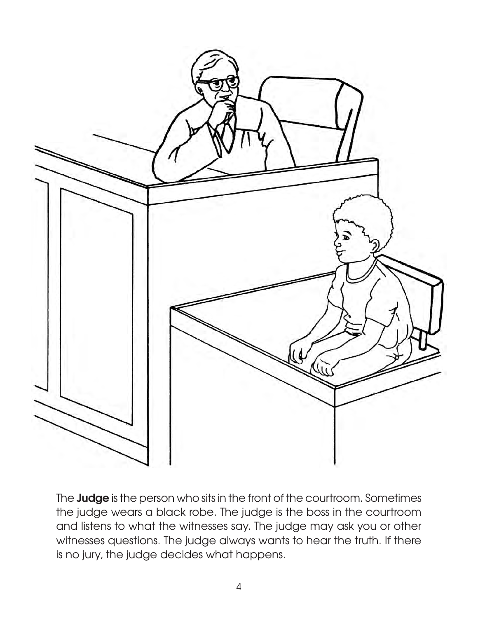

The **Judge** is the person who sits in the front of the courtroom. Sometimes the judge wears a black robe. The judge is the boss in the courtroom and listens to what the witnesses say. The judge may ask you or other witnesses questions. The judge always wants to hear the truth. If there is no jury, the judge decides what happens.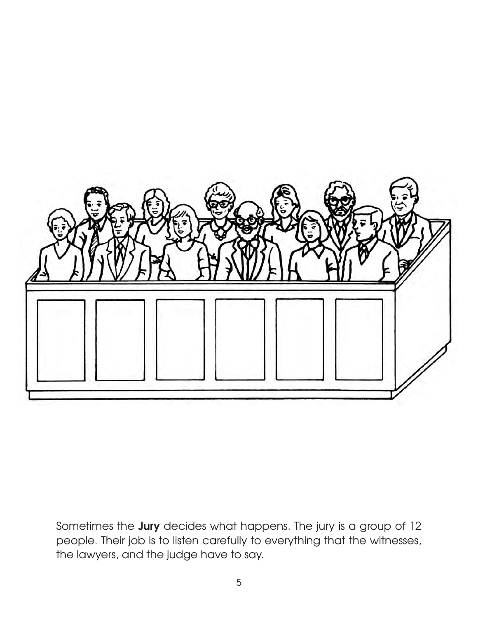

Sometimes the **Jury** decides what happens. The jury is a group of 12 people. Their job is to listen carefully to everything that the witnesses, the lawyers, and the judge have to say.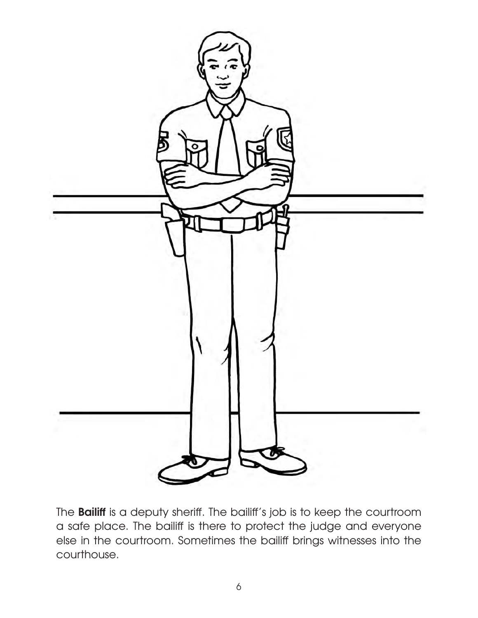

The **Bailiff** is a deputy sheriff. The bailiff's job is to keep the courtroom a safe place. The bailiff is there to protect the judge and everyone else in the courtroom. Sometimes the bailiff brings witnesses into the courthouse.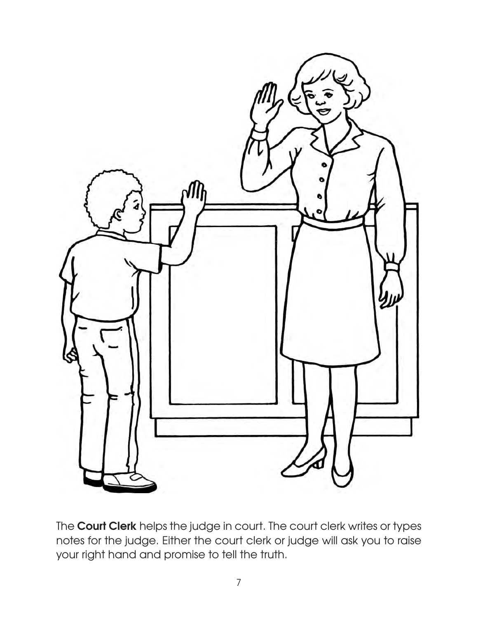

The **Court Clerk** helps the judge in court. The court clerk writes or types notes for the judge. Either the court clerk or judge will ask you to raise your right hand and promise to tell the truth.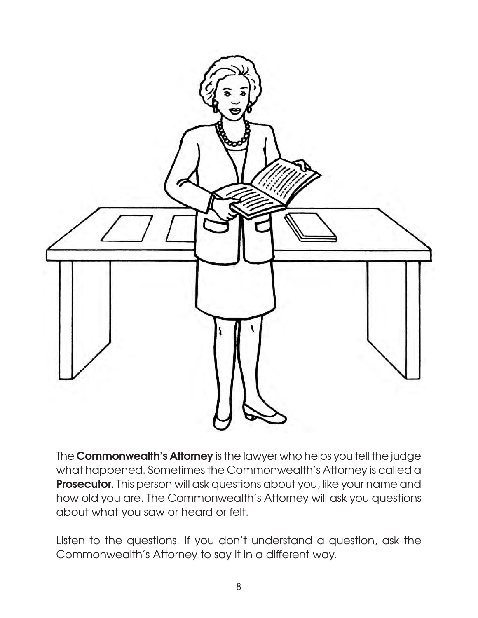

The **Commonwealth's Attorney** is the lawyer who helps you tell the judge what happened. Sometimes the Commonwealth's Attorney is called a **Prosecutor.** This person will ask questions about you, like your name and how old you are. The Commonwealth's Attorney will ask you questions about what you saw or heard or felt.

Listen to the questions. If you don't understand a question, ask the Commonwealth's Attorney to say it in a different way.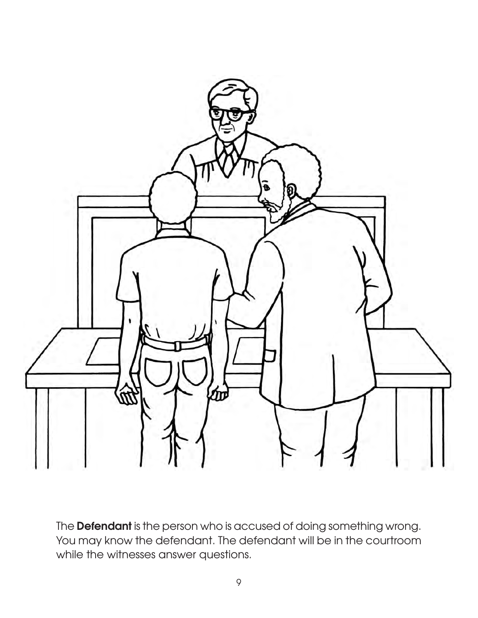

The **Defendant** is the person who is accused of doing something wrong. You may know the defendant. The defendant will be in the courtroom while the witnesses answer questions.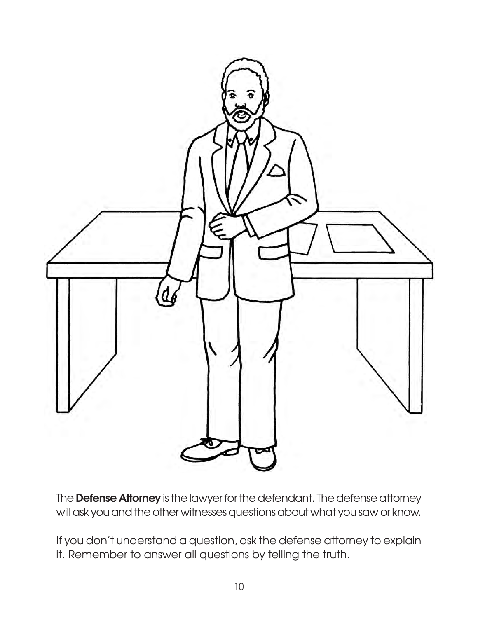

The **Defense Attorney** is the lawyer for the defendant. The defense attorney will ask you and the other witnesses questions about what you saw or know.

If you don't understand a question, ask the defense attorney to explain it. Remember to answer all questions by telling the truth.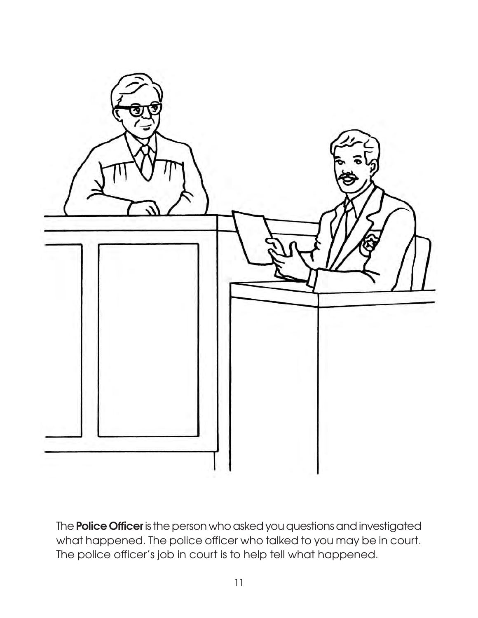

The **Police Officer** is the person who asked you questions and investigated what happened. The police officer who talked to you may be in court. The police officer's job in court is to help tell what happened.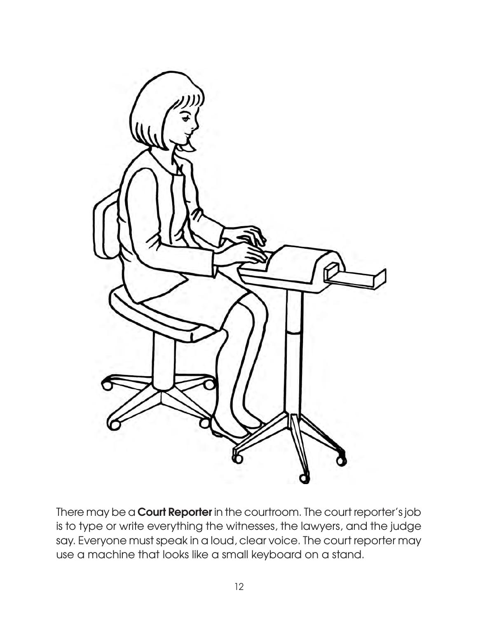

There may be a **Court Reporter** in the courtroom. The court reporter's job is to type or write everything the witnesses, the lawyers, and the judge say. Everyone must speak in a loud, clear voice. The court reporter may use a machine that looks like a small keyboard on a stand.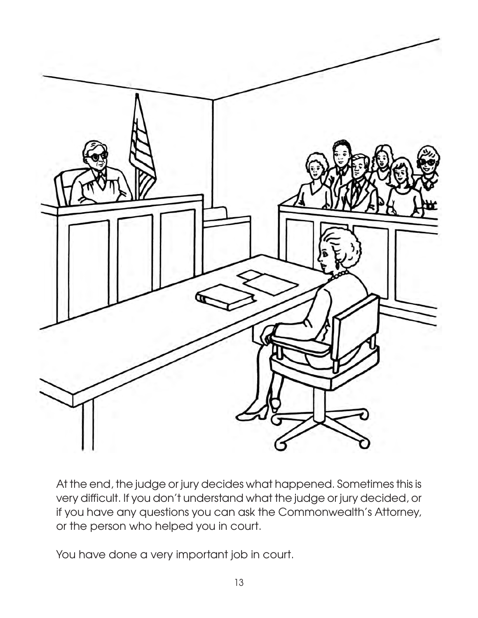

At the end, the judge or jury decides what happened. Sometimes this is very difficult. If you don't understand what the judge or jury decided, or if you have any questions you can ask the Commonwealth's Attorney, or the person who helped you in court.

You have done a very important job in court.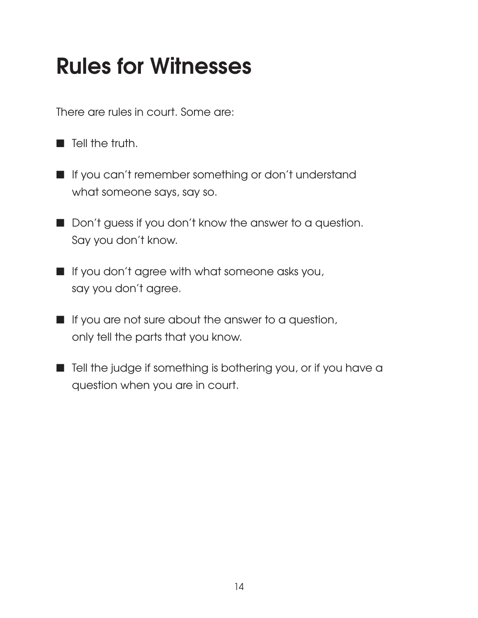## **Rules for Witnesses**

There are rules in court. Some are:

- $\blacksquare$  Tell the truth.
- If you can't remember something or don't understand what someone says, say so.
- Don't guess if you don't know the answer to a question. Say you don't know.
- $\blacksquare$  If you don't agree with what someone asks you, say you don't agree.
- $\blacksquare$  If you are not sure about the answer to a question, only tell the parts that you know.
- $\blacksquare$  Tell the judge if something is bothering you, or if you have a question when you are in court.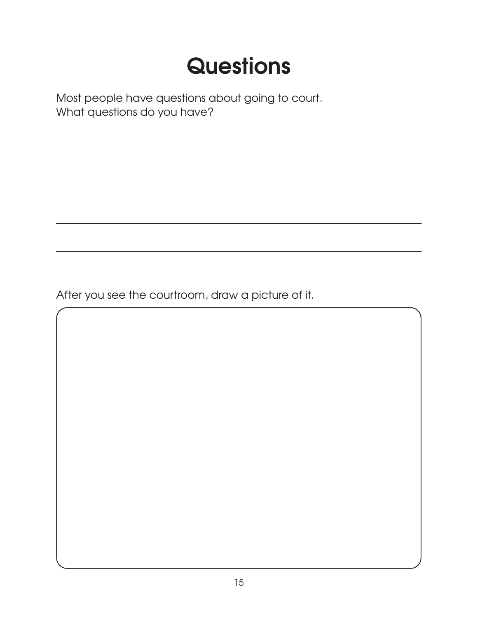## **Questions**

Most people have questions about going to court. What questions do you have?

After you see the courtroom, draw a picture of it.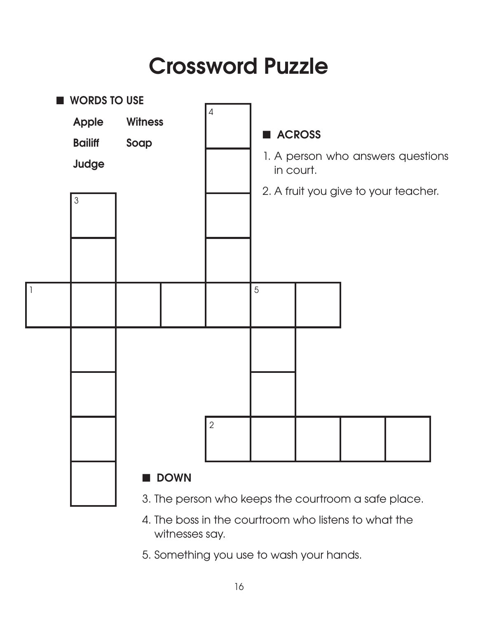## **Crossword Puzzle**



- 3. The person who keeps the courtroom a safe place.
- 4. The boss in the courtroom who listens to what the witnesses say.
- 5. Something you use to wash your hands.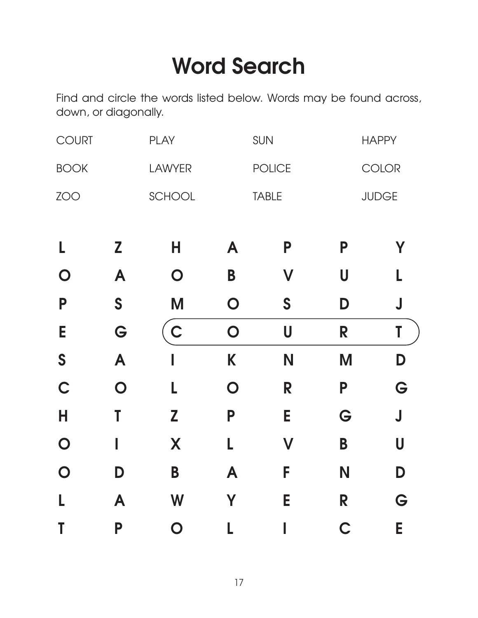## **Word Search**

Find and circle the words listed below. Words may be found across, down, or diagonally.

| <b>COURT</b>   |                | <b>PLAY</b>   |                | SUN                     |              | <b>HAPPY</b>            |  |
|----------------|----------------|---------------|----------------|-------------------------|--------------|-------------------------|--|
| <b>BOOK</b>    |                | <b>LAWYER</b> | <b>POLICE</b>  |                         | COLOR        |                         |  |
| ZOO            |                | SCHOOL        | <b>TABLE</b>   |                         | <b>JUDGE</b> |                         |  |
| L              | Z              | Н             | A              | P                       | P            | Υ                       |  |
| $\mathbf O$    | A              | O             | B              | $\overline{\mathsf{V}}$ | U            | L                       |  |
| P              | S              | M             | $\overline{O}$ | $\mathsf{S}$            | D            | $\bigcup$               |  |
| E              | G              | $\mathsf C$   | $\overline{O}$ | U                       | R            | T                       |  |
| S              | A              | I             | K              | N                       | M            | D                       |  |
| $\mathsf C$    | $\overline{O}$ | L             | $\overline{O}$ | R                       | P            | G                       |  |
| Н              | T              | Z             | P              | Е                       | G            | $\overline{\mathsf{J}}$ |  |
| $\overline{O}$ |                | X             | L              | $\mathsf{V}$            | B            | U                       |  |
| $\overline{O}$ | D              | B             | A              | F                       | N            | D                       |  |
|                | A              | W             | Y              | E                       | R            | G                       |  |
| Τ              | P              | $\mathbf O$   |                |                         | C            | E                       |  |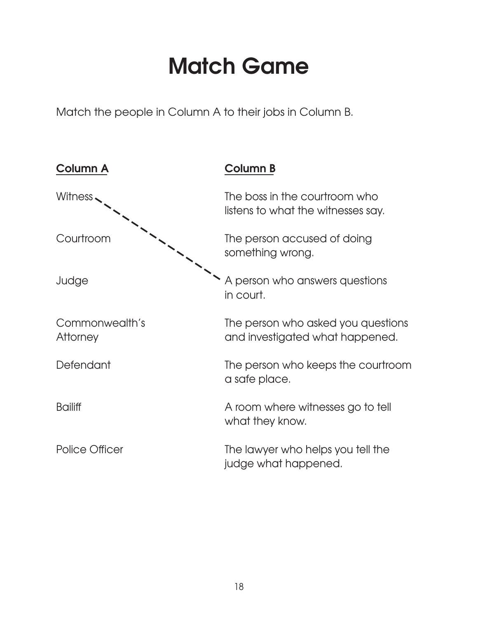## **Match Game**

Match the people in Column A to their jobs in Column B.

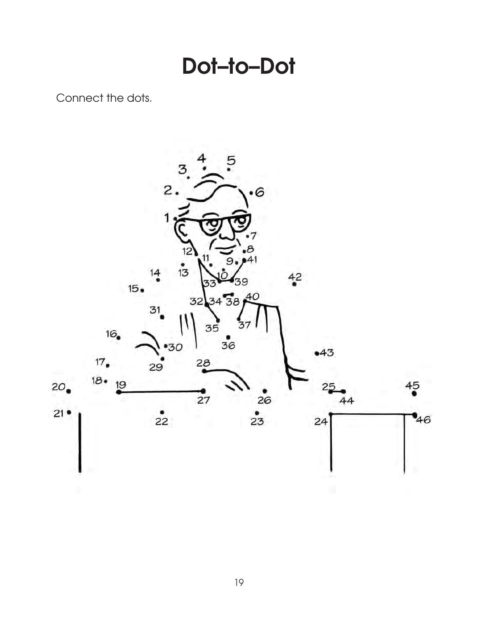**Dot–to–Dot**

Connect the dots.

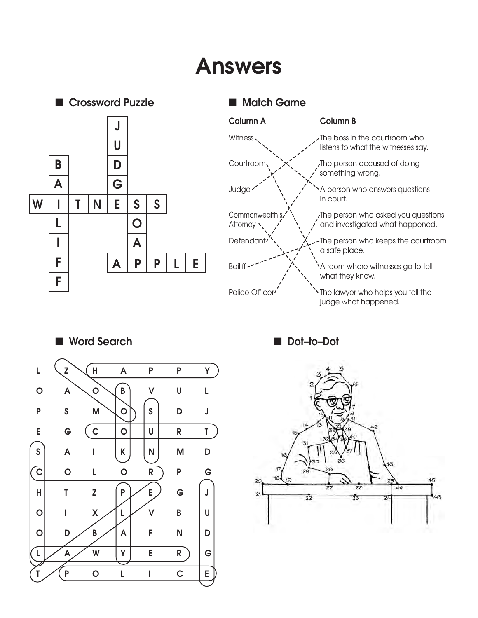## **Answers**



### **n** Match Game





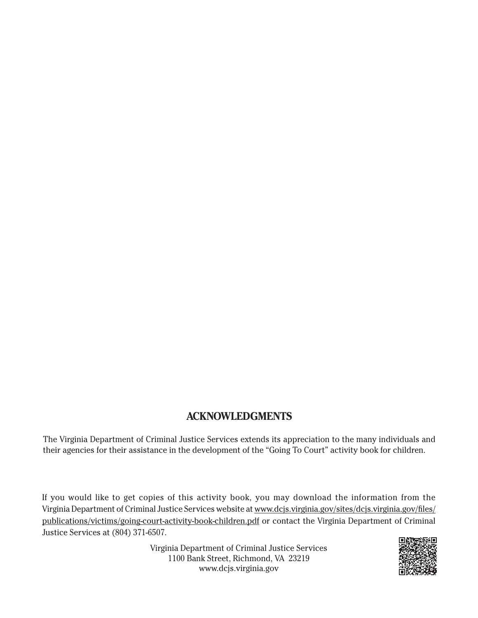#### **ACKNOWLEDGMENTS**

The Virginia Department of Criminal Justice Services extends its appreciation to the many individuals and their agencies for their assistance in the development of the "Going To Court" activity book for children.

If you would like to get copies of this activity book, you may download the information from the Virginia Department of Criminal Justice Services website at [www.dcjs.virginia.gov/sites/dcjs.virginia.gov/files/](https://www.dcjs.virginia.gov/sites/dcjs.virginia.gov/files/publications/victims/going-court-activity-book-children.pdf) [publications/victims/going-court-activity-book-children.pdf](https://www.dcjs.virginia.gov/sites/dcjs.virginia.gov/files/publications/victims/going-court-activity-book-children.pdf) or contact the Virginia Department of Criminal Justice Services at (804) 371-6507.

> Virginia Department of Criminal Justice Services 1100 Bank Street, Richmond, VA 23219 www.dcjs.virginia.gov